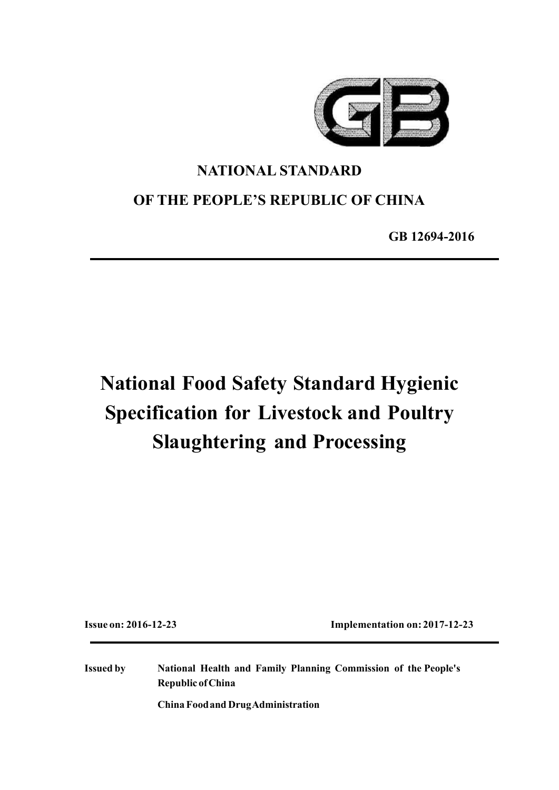

## **NATIONAL STANDARD**

## **OF THE PEOPLE'S REPUBLIC OF CHINA**

**GB 12694-2016**

# **National Food Safety Standard Hygienic Specification for Livestock and Poultry Slaughtering and Processing**

**Issue on: 2016-12-23 Implementation on:2017-12-23**

**Issued by National Health and Family Planning Commission of the People's Republic ofChina**

**China Foodand DrugAdministration**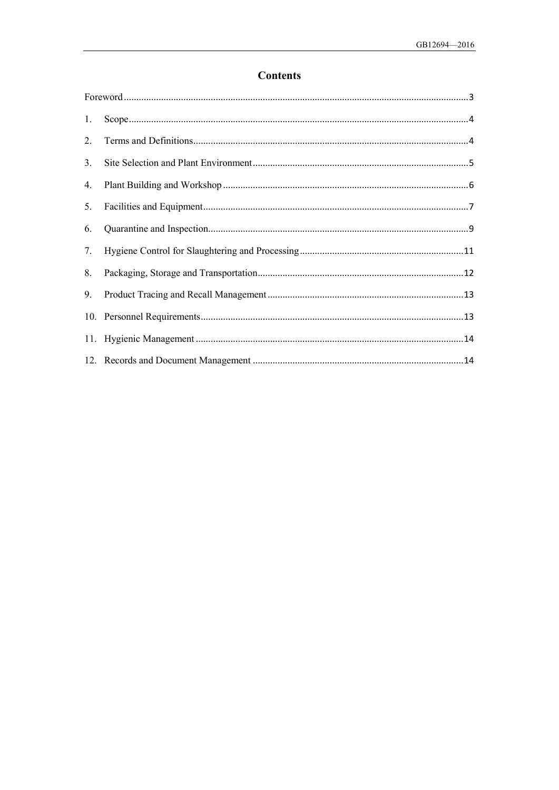## **Contents**

| 1. |  |  |
|----|--|--|
| 2. |  |  |
| 3. |  |  |
| 4. |  |  |
| 5. |  |  |
| 6. |  |  |
| 7. |  |  |
| 8. |  |  |
| 9. |  |  |
|    |  |  |
|    |  |  |
|    |  |  |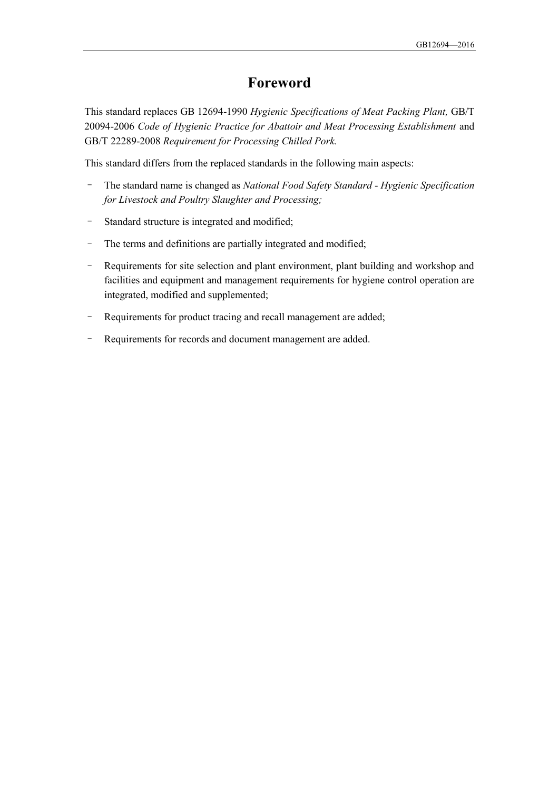## **Foreword**

<span id="page-2-0"></span>This standard replaces GB 12694-1990 *Hygienic Specifications of Meat Packing Plant,* GB/T 20094-2006 *Code of Hygienic Practice for Abattoir and Meat Processing Establishment* and GB/T 22289-2008 *Requirement for Processing Chilled Pork.*

This standard differs from the replaced standards in the following main aspects:

- The standard name is changed as *National Food Safety Standard Hygienic Specification for Livestock and Poultry Slaughter and Processing;*
- Standard structure is integrated and modified;
- The terms and definitions are partially integrated and modified;
- Requirements for site selection and plant environment, plant building and workshop and facilities and equipment and management requirements for hygiene control operation are integrated, modified and supplemented;
- Requirements for product tracing and recall management are added;
- Requirements for records and document management are added.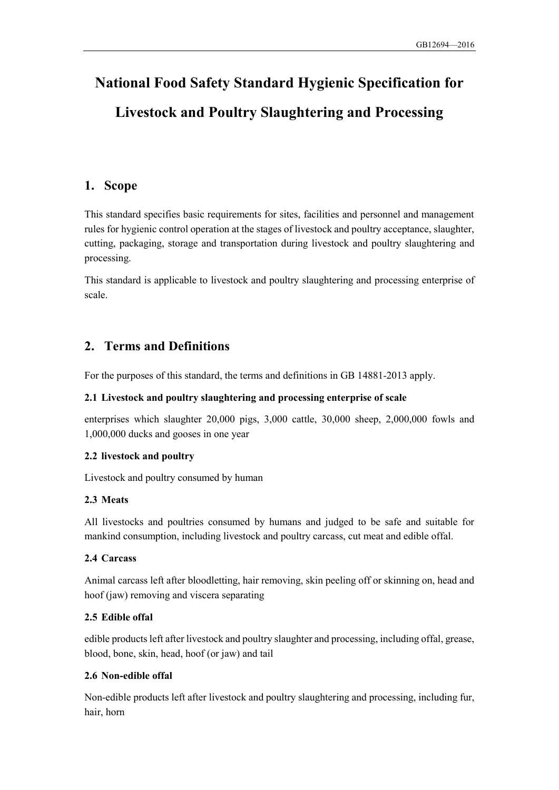## **National Food Safety Standard Hygienic Specification for Livestock and Poultry Slaughtering and Processing**

## <span id="page-3-0"></span>**1. Scope**

This standard specifies basic requirements for sites, facilities and personnel and management rules for hygienic control operation at the stages of livestock and poultry acceptance, slaughter, cutting, packaging, storage and transportation during livestock and poultry slaughtering and processing.

This standard is applicable to livestock and poultry slaughtering and processing enterprise of scale.

## <span id="page-3-1"></span>**2. Terms and Definitions**

For the purposes of this standard, the terms and definitions in GB 14881-2013 apply.

#### **2.1 Livestock and poultry slaughtering and processing enterprise of scale**

enterprises which slaughter 20,000 pigs, 3,000 cattle, 30,000 sheep, 2,000,000 fowls and 1,000,000 ducks and gooses in one year

#### **2.2 livestock and poultry**

Livestock and poultry consumed by human

#### **2.3 Meats**

All livestocks and poultries consumed by humans and judged to be safe and suitable for mankind consumption, including livestock and poultry carcass, cut meat and edible offal.

#### **2.4 Carcass**

Animal carcass left after bloodletting, hair removing, skin peeling off or skinning on, head and hoof (jaw) removing and viscera separating

#### **2.5 Edible offal**

edible products left after livestock and poultry slaughter and processing, including offal, grease, blood, bone, skin, head, hoof (or jaw) and tail

#### **2.6 Non-edible offal**

Non-edible products left after livestock and poultry slaughtering and processing, including fur, hair, horn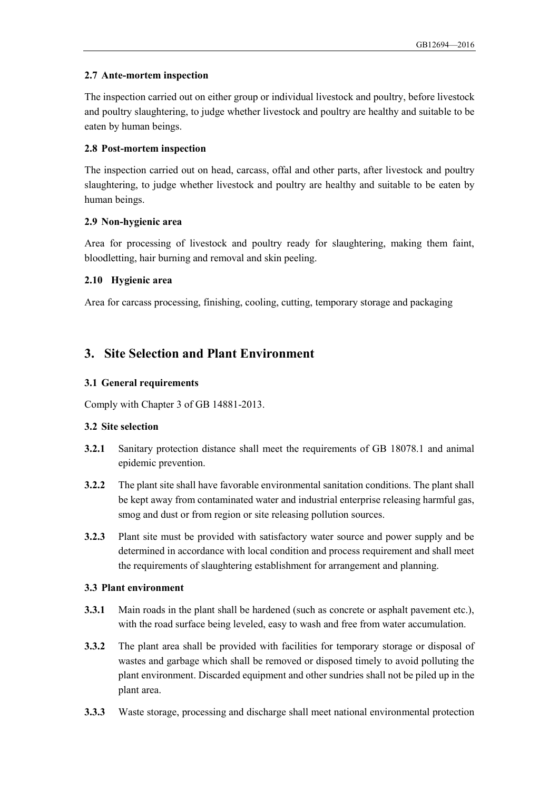#### **2.7 Ante-mortem inspection**

The inspection carried out on either group or individual livestock and poultry, before livestock and poultry slaughtering, to judge whether livestock and poultry are healthy and suitable to be eaten by human beings.

#### **2.8 Post-mortem inspection**

The inspection carried out on head, carcass, offal and other parts, after livestock and poultry slaughtering, to judge whether livestock and poultry are healthy and suitable to be eaten by human beings.

#### **2.9 Non-hygienic area**

Area for processing of livestock and poultry ready for slaughtering, making them faint, bloodletting, hair burning and removal and skin peeling.

#### **2.10 Hygienic area**

Area for carcass processing, finishing, cooling, cutting, temporary storage and packaging

## <span id="page-4-0"></span>**3. Site Selection and Plant Environment**

#### **3.1 General requirements**

Comply with Chapter 3 of GB 14881-2013.

#### **3.2 Site selection**

- **3.2.1** Sanitary protection distance shall meet the requirements of GB 18078.1 and animal epidemic prevention.
- **3.2.2** The plant site shall have favorable environmental sanitation conditions. The plant shall be kept away from contaminated water and industrial enterprise releasing harmful gas, smog and dust or from region or site releasing pollution sources.
- **3.2.3** Plant site must be provided with satisfactory water source and power supply and be determined in accordance with local condition and process requirement and shall meet the requirements of slaughtering establishment for arrangement and planning.

#### **3.3 Plant environment**

- **3.3.1** Main roads in the plant shall be hardened (such as concrete or asphalt pavement etc.), with the road surface being leveled, easy to wash and free from water accumulation.
- **3.3.2** The plant area shall be provided with facilities for temporary storage or disposal of wastes and garbage which shall be removed or disposed timely to avoid polluting the plant environment. Discarded equipment and other sundries shall not be piled up in the plant area.
- **3.3.3** Waste storage, processing and discharge shall meet national environmental protection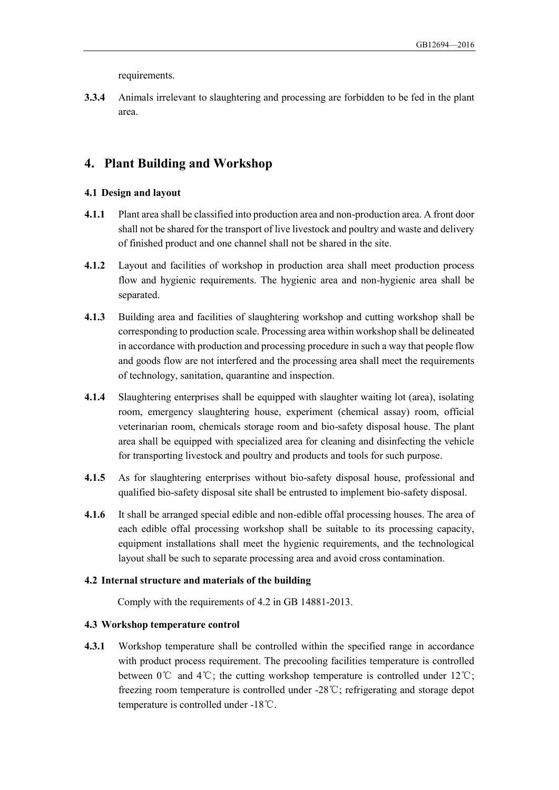requirements.

**3.3.4** Animals irrelevant to slaughtering and processing are forbidden to be fed in the plant area.

## <span id="page-5-0"></span>**4. Plant Building and Workshop**

#### **4.1 Design and layout**

- **4.1.1** Plant area shall be classified into production area and non-production area. A front door shall not be shared for the transport of live livestock and poultry and waste and delivery of finished product and one channel shall not be shared in the site.
- **4.1.2** Layout and facilities of workshop in production area shall meet production process flow and hygienic requirements. The hygienic area and non-hygienic area shall be separated.
- **4.1.3** Building area and facilities of slaughtering workshop and cutting workshop shall be corresponding to production scale. Processing area within workshop shall be delineated in accordance with production and processing procedure in such a way that people flow and goods flow are not interfered and the processing area shall meet the requirements of technology, sanitation, quarantine and inspection.
- **4.1.4** Slaughtering enterprises shall be equipped with slaughter waiting lot (area), isolating room, emergency slaughtering house, experiment (chemical assay) room, official veterinarian room, chemicals storage room and bio-safety disposal house. The plant area shall be equipped with specialized area for cleaning and disinfecting the vehicle for transporting livestock and poultry and products and tools for such purpose.
- **4.1.5** As for slaughtering enterprises without bio-safety disposal house, professional and qualified bio-safety disposal site shall be entrusted to implement bio-safety disposal.
- **4.1.6** It shall be arranged special edible and non-edible offal processing houses. The area of each edible offal processing workshop shall be suitable to its processing capacity, equipment installations shall meet the hygienic requirements, and the technological layout shall be such to separate processing area and avoid cross contamination.

#### **4.2 Internal structure and materials of the building**

Comply with the requirements of 4.2 in GB 14881-2013.

#### **4.3 Workshop temperature control**

**4.3.1** Workshop temperature shall be controlled within the specified range in accordance with product process requirement. The precooling facilities temperature is controlled between 0℃ and 4℃; the cutting workshop temperature is controlled under 12℃; freezing room temperature is controlled under -28℃; refrigerating and storage depot temperature is controlled under -18℃.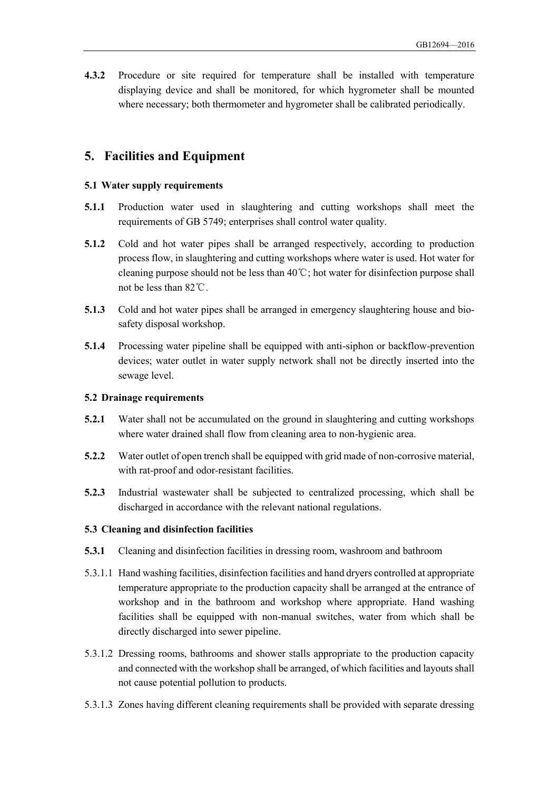**4.3.2** Procedure or site required for temperature shall be installed with temperature displaying device and shall be monitored, for which hygrometer shall be mounted where necessary; both thermometer and hygrometer shall be calibrated periodically.

## <span id="page-6-0"></span>**5. Facilities and Equipment**

#### **5.1 Water supply requirements**

- **5.1.1** Production water used in slaughtering and cutting workshops shall meet the requirements of GB 5749; enterprises shall control water quality.
- **5.1.2** Cold and hot water pipes shall be arranged respectively, according to production process flow, in slaughtering and cutting workshops where water is used. Hot water for cleaning purpose should not be less than 40℃; hot water for disinfection purpose shall not be less than 82℃.
- **5.1.3** Cold and hot water pipes shall be arranged in emergency slaughtering house and biosafety disposal workshop.
- **5.1.4** Processing water pipeline shall be equipped with anti-siphon or backflow-prevention devices; water outlet in water supply network shall not be directly inserted into the sewage level.

#### **5.2 Drainage requirements**

- **5.2.1** Water shall not be accumulated on the ground in slaughtering and cutting workshops where water drained shall flow from cleaning area to non-hygienic area.
- **5.2.2** Water outlet of open trench shall be equipped with grid made of non-corrosive material, with rat-proof and odor-resistant facilities.
- **5.2.3** Industrial wastewater shall be subjected to centralized processing, which shall be discharged in accordance with the relevant national regulations.

#### **5.3 Cleaning and disinfection facilities**

- **5.3.1** Cleaning and disinfection facilities in dressing room, washroom and bathroom
- 5.3.1.1 Hand washing facilities, disinfection facilities and hand dryers controlled at appropriate temperature appropriate to the production capacity shall be arranged at the entrance of workshop and in the bathroom and workshop where appropriate. Hand washing facilities shall be equipped with non-manual switches, water from which shall be directly discharged into sewer pipeline.
- 5.3.1.2 Dressing rooms, bathrooms and shower stalls appropriate to the production capacity and connected with the workshop shall be arranged, of which facilities and layouts shall not cause potential pollution to products.
- 5.3.1.3 Zones having different cleaning requirements shall be provided with separate dressing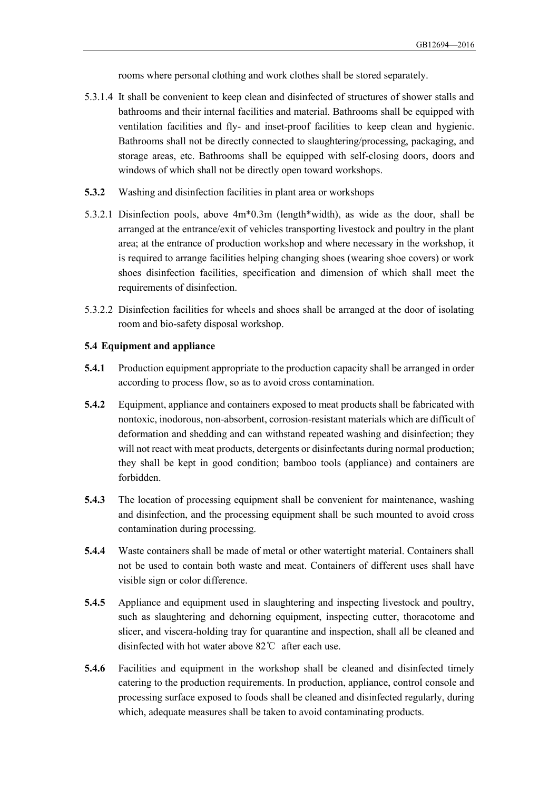rooms where personal clothing and work clothes shall be stored separately.

- 5.3.1.4 It shall be convenient to keep clean and disinfected of structures of shower stalls and bathrooms and their internal facilities and material. Bathrooms shall be equipped with ventilation facilities and fly- and inset-proof facilities to keep clean and hygienic. Bathrooms shall not be directly connected to slaughtering/processing, packaging, and storage areas, etc. Bathrooms shall be equipped with self-closing doors, doors and windows of which shall not be directly open toward workshops.
- **5.3.2** Washing and disinfection facilities in plant area or workshops
- 5.3.2.1 Disinfection pools, above 4m\*0.3m (length\*width), as wide as the door, shall be arranged at the entrance/exit of vehicles transporting livestock and poultry in the plant area; at the entrance of production workshop and where necessary in the workshop, it is required to arrange facilities helping changing shoes (wearing shoe covers) or work shoes disinfection facilities, specification and dimension of which shall meet the requirements of disinfection.
- 5.3.2.2 Disinfection facilities for wheels and shoes shall be arranged at the door of isolating room and bio-safety disposal workshop.

#### **5.4 Equipment and appliance**

- **5.4.1** Production equipment appropriate to the production capacity shall be arranged in order according to process flow, so as to avoid cross contamination.
- **5.4.2** Equipment, appliance and containers exposed to meat products shall be fabricated with nontoxic, inodorous, non-absorbent, corrosion-resistant materials which are difficult of deformation and shedding and can withstand repeated washing and disinfection; they will not react with meat products, detergents or disinfectants during normal production; they shall be kept in good condition; bamboo tools (appliance) and containers are forbidden.
- **5.4.3** The location of processing equipment shall be convenient for maintenance, washing and disinfection, and the processing equipment shall be such mounted to avoid cross contamination during processing.
- **5.4.4** Waste containers shall be made of metal or other watertight material. Containers shall not be used to contain both waste and meat. Containers of different uses shall have visible sign or color difference.
- **5.4.5** Appliance and equipment used in slaughtering and inspecting livestock and poultry, such as slaughtering and dehorning equipment, inspecting cutter, thoracotome and slicer, and viscera-holding tray for quarantine and inspection, shall all be cleaned and disinfected with hot water above 82℃ after each use.
- **5.4.6** Facilities and equipment in the workshop shall be cleaned and disinfected timely catering to the production requirements. In production, appliance, control console and processing surface exposed to foods shall be cleaned and disinfected regularly, during which, adequate measures shall be taken to avoid contaminating products.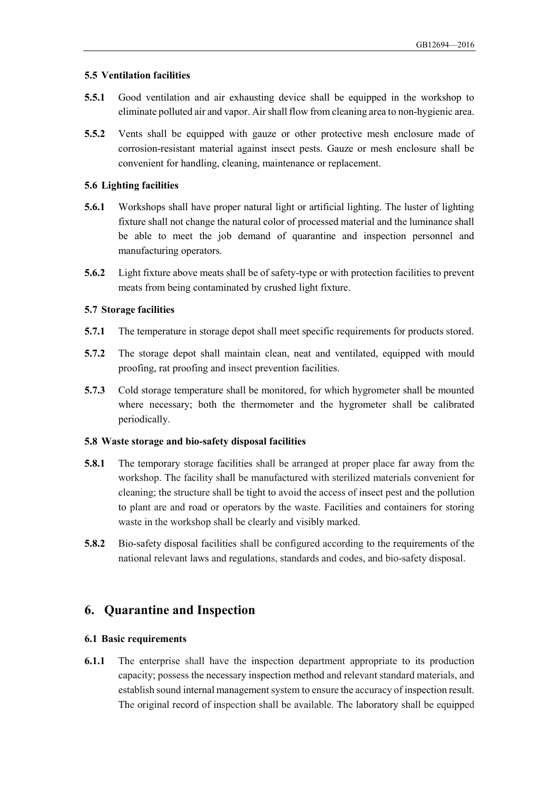#### **5.5 Ventilation facilities**

- **5.5.1** Good ventilation and air exhausting device shall be equipped in the workshop to eliminate polluted air and vapor. Air shall flow from cleaning area to non-hygienic area.
- **5.5.2** Vents shall be equipped with gauze or other protective mesh enclosure made of corrosion-resistant material against insect pests. Gauze or mesh enclosure shall be convenient for handling, cleaning, maintenance or replacement.

#### **5.6 Lighting facilities**

- **5.6.1** Workshops shall have proper natural light or artificial lighting. The luster of lighting fixture shall not change the natural color of processed material and the luminance shall be able to meet the job demand of quarantine and inspection personnel and manufacturing operators.
- **5.6.2** Light fixture above meats shall be of safety-type or with protection facilities to prevent meats from being contaminated by crushed light fixture.

#### **5.7 Storage facilities**

- **5.7.1** The temperature in storage depot shall meet specific requirements for products stored.
- **5.7.2** The storage depot shall maintain clean, neat and ventilated, equipped with mould proofing, rat proofing and insect prevention facilities.
- **5.7.3** Cold storage temperature shall be monitored, for which hygrometer shall be mounted where necessary; both the thermometer and the hygrometer shall be calibrated periodically.

#### **5.8 Waste storage and bio-safety disposal facilities**

- **5.8.1** The temporary storage facilities shall be arranged at proper place far away from the workshop. The facility shall be manufactured with sterilized materials convenient for cleaning; the structure shall be tight to avoid the access of insect pest and the pollution to plant are and road or operators by the waste. Facilities and containers for storing waste in the workshop shall be clearly and visibly marked.
- **5.8.2** Bio-safety disposal facilities shall be configured according to the requirements of the national relevant laws and regulations, standards and codes, and bio-safety disposal.

## <span id="page-8-0"></span>**6. Quarantine and Inspection**

#### **6.1 Basic requirements**

**6.1.1** The enterprise shall have the inspection department appropriate to its production capacity; possess the necessary inspection method and relevant standard materials, and establish sound internal management system to ensure the accuracy of inspection result. The original record of inspection shall be available. The laboratory shall be equipped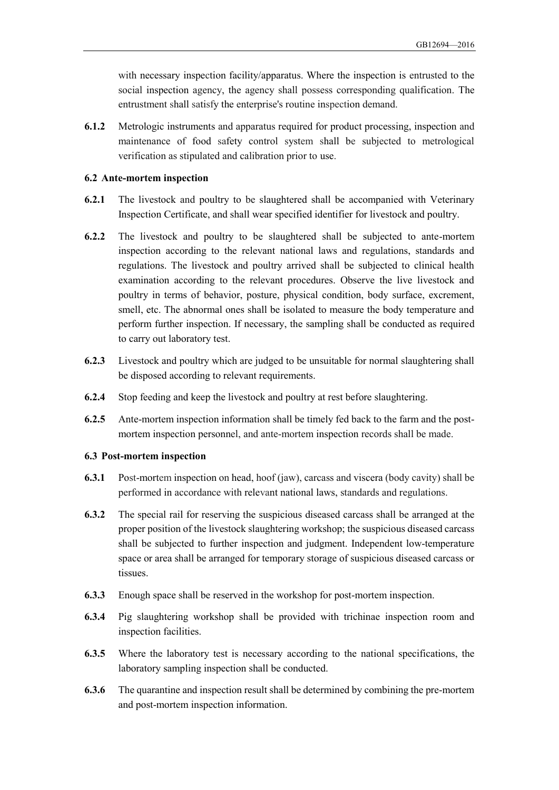with necessary inspection facility/apparatus. Where the inspection is entrusted to the social inspection agency, the agency shall possess corresponding qualification. The entrustment shall satisfy the enterprise's routine inspection demand.

**6.1.2** Metrologic instruments and apparatus required for product processing, inspection and maintenance of food safety control system shall be subjected to metrological verification as stipulated and calibration prior to use.

#### **6.2 Ante-mortem inspection**

- **6.2.1** The livestock and poultry to be slaughtered shall be accompanied with Veterinary Inspection Certificate, and shall wear specified identifier for livestock and poultry.
- **6.2.2** The livestock and poultry to be slaughtered shall be subjected to ante-mortem inspection according to the relevant national laws and regulations, standards and regulations. The livestock and poultry arrived shall be subjected to clinical health examination according to the relevant procedures. Observe the live livestock and poultry in terms of behavior, posture, physical condition, body surface, excrement, smell, etc. The abnormal ones shall be isolated to measure the body temperature and perform further inspection. If necessary, the sampling shall be conducted as required to carry out laboratory test.
- **6.2.3** Livestock and poultry which are judged to be unsuitable for normal slaughtering shall be disposed according to relevant requirements.
- **6.2.4** Stop feeding and keep the livestock and poultry at rest before slaughtering.
- **6.2.5** Ante-mortem inspection information shall be timely fed back to the farm and the postmortem inspection personnel, and ante-mortem inspection records shall be made.

#### **6.3 Post-mortem inspection**

- **6.3.1** Post-mortem inspection on head, hoof (jaw), carcass and viscera (body cavity) shall be performed in accordance with relevant national laws, standards and regulations.
- **6.3.2** The special rail for reserving the suspicious diseased carcass shall be arranged at the proper position of the livestock slaughtering workshop; the suspicious diseased carcass shall be subjected to further inspection and judgment. Independent low-temperature space or area shall be arranged for temporary storage of suspicious diseased carcass or tissues.
- **6.3.3** Enough space shall be reserved in the workshop for post-mortem inspection.
- **6.3.4** Pig slaughtering workshop shall be provided with trichinae inspection room and inspection facilities.
- **6.3.5** Where the laboratory test is necessary according to the national specifications, the laboratory sampling inspection shall be conducted.
- **6.3.6** The quarantine and inspection result shall be determined by combining the pre-mortem and post-mortem inspection information.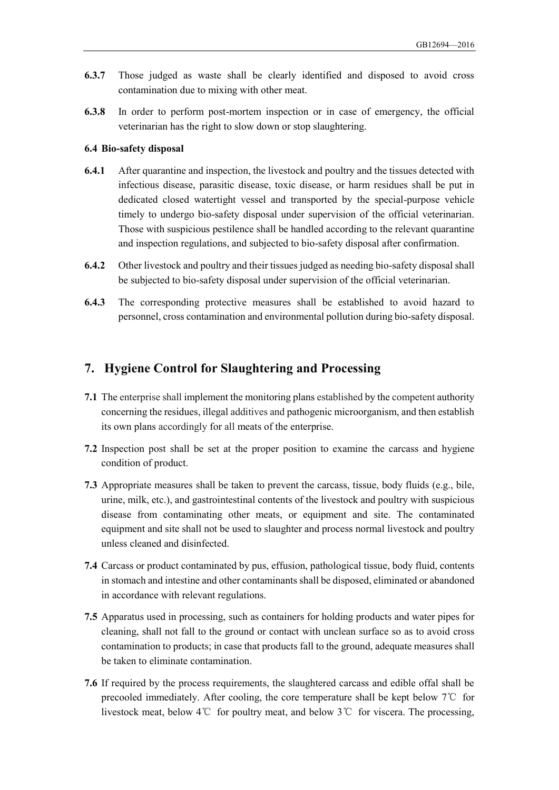- **6.3.7** Those judged as waste shall be clearly identified and disposed to avoid cross contamination due to mixing with other meat.
- **6.3.8** In order to perform post-mortem inspection or in case of emergency, the official veterinarian has the right to slow down or stop slaughtering.

#### **6.4 Bio-safety disposal**

- **6.4.1** After quarantine and inspection, the livestock and poultry and the tissues detected with infectious disease, parasitic disease, toxic disease, or harm residues shall be put in dedicated closed watertight vessel and transported by the special-purpose vehicle timely to undergo bio-safety disposal under supervision of the official veterinarian. Those with suspicious pestilence shall be handled according to the relevant quarantine and inspection regulations, and subjected to bio-safety disposal after confirmation.
- **6.4.2** Other livestock and poultry and their tissues judged as needing bio-safety disposal shall be subjected to bio-safety disposal under supervision of the official veterinarian.
- **6.4.3** The corresponding protective measures shall be established to avoid hazard to personnel, cross contamination and environmental pollution during bio-safety disposal.

## <span id="page-10-0"></span>**7. Hygiene Control for Slaughtering and Processing**

- **7.1** The enterprise shall implement the monitoring plans established by the competent authority concerning the residues, illegal additives and pathogenic microorganism, and then establish its own plans accordingly for all meats of the enterprise.
- **7.2** Inspection post shall be set at the proper position to examine the carcass and hygiene condition of product.
- **7.3** Appropriate measures shall be taken to prevent the carcass, tissue, body fluids (e.g., bile, urine, milk, etc.), and gastrointestinal contents of the livestock and poultry with suspicious disease from contaminating other meats, or equipment and site. The contaminated equipment and site shall not be used to slaughter and process normal livestock and poultry unless cleaned and disinfected.
- **7.4** Carcass or product contaminated by pus, effusion, pathological tissue, body fluid, contents in stomach and intestine and other contaminants shall be disposed, eliminated or abandoned in accordance with relevant regulations.
- **7.5** Apparatus used in processing, such as containers for holding products and water pipes for cleaning, shall not fall to the ground or contact with unclean surface so as to avoid cross contamination to products; in case that products fall to the ground, adequate measures shall be taken to eliminate contamination.
- **7.6** If required by the process requirements, the slaughtered carcass and edible offal shall be precooled immediately. After cooling, the core temperature shall be kept below 7℃ for livestock meat, below 4℃ for poultry meat, and below 3℃ for viscera. The processing,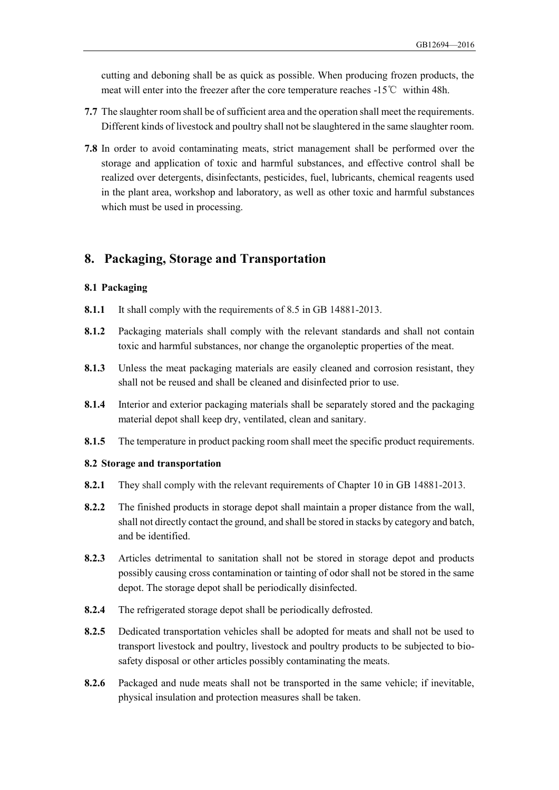cutting and deboning shall be as quick as possible. When producing frozen products, the meat will enter into the freezer after the core temperature reaches -15℃ within 48h.

- **7.7** The slaughter room shall be of sufficient area and the operation shall meet the requirements. Different kinds of livestock and poultry shall not be slaughtered in the same slaughter room.
- **7.8** In order to avoid contaminating meats, strict management shall be performed over the storage and application of toxic and harmful substances, and effective control shall be realized over detergents, disinfectants, pesticides, fuel, lubricants, chemical reagents used in the plant area, workshop and laboratory, as well as other toxic and harmful substances which must be used in processing.

## <span id="page-11-0"></span>**8. Packaging, Storage and Transportation**

#### **8.1 Packaging**

- **8.1.1** It shall comply with the requirements of 8.5 in GB 14881-2013.
- **8.1.2** Packaging materials shall comply with the relevant standards and shall not contain toxic and harmful substances, nor change the organoleptic properties of the meat.
- **8.1.3** Unless the meat packaging materials are easily cleaned and corrosion resistant, they shall not be reused and shall be cleaned and disinfected prior to use.
- **8.1.4** Interior and exterior packaging materials shall be separately stored and the packaging material depot shall keep dry, ventilated, clean and sanitary.
- **8.1.5** The temperature in product packing room shall meet the specific product requirements.

#### **8.2 Storage and transportation**

- **8.2.1** They shall comply with the relevant requirements of Chapter 10 in GB 14881-2013.
- **8.2.2** The finished products in storage depot shall maintain a proper distance from the wall, shall not directly contact the ground, and shall be stored in stacks by category and batch, and be identified.
- **8.2.3** Articles detrimental to sanitation shall not be stored in storage depot and products possibly causing cross contamination or tainting of odor shall not be stored in the same depot. The storage depot shall be periodically disinfected.
- **8.2.4** The refrigerated storage depot shall be periodically defrosted.
- **8.2.5** Dedicated transportation vehicles shall be adopted for meats and shall not be used to transport livestock and poultry, livestock and poultry products to be subjected to biosafety disposal or other articles possibly contaminating the meats.
- **8.2.6** Packaged and nude meats shall not be transported in the same vehicle; if inevitable, physical insulation and protection measures shall be taken.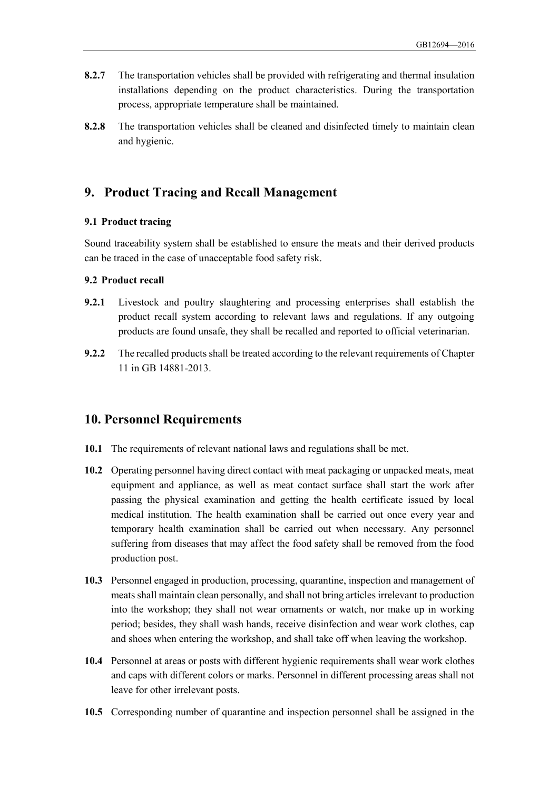- **8.2.7** The transportation vehicles shall be provided with refrigerating and thermal insulation installations depending on the product characteristics. During the transportation process, appropriate temperature shall be maintained.
- **8.2.8** The transportation vehicles shall be cleaned and disinfected timely to maintain clean and hygienic.

## <span id="page-12-0"></span>**9. Product Tracing and Recall Management**

#### **9.1 Product tracing**

Sound traceability system shall be established to ensure the meats and their derived products can be traced in the case of unacceptable food safety risk.

#### **9.2 Product recall**

- **9.2.1** Livestock and poultry slaughtering and processing enterprises shall establish the product recall system according to relevant laws and regulations. If any outgoing products are found unsafe, they shall be recalled and reported to official veterinarian.
- **9.2.2** The recalled products shall be treated according to the relevant requirements of Chapter 11 in GB 14881-2013.

#### <span id="page-12-1"></span>**10. Personnel Requirements**

- **10.1** The requirements of relevant national laws and regulations shall be met.
- **10.2** Operating personnel having direct contact with meat packaging or unpacked meats, meat equipment and appliance, as well as meat contact surface shall start the work after passing the physical examination and getting the health certificate issued by local medical institution. The health examination shall be carried out once every year and temporary health examination shall be carried out when necessary. Any personnel suffering from diseases that may affect the food safety shall be removed from the food production post.
- **10.3** Personnel engaged in production, processing, quarantine, inspection and management of meats shall maintain clean personally, and shall not bring articles irrelevant to production into the workshop; they shall not wear ornaments or watch, nor make up in working period; besides, they shall wash hands, receive disinfection and wear work clothes, cap and shoes when entering the workshop, and shall take off when leaving the workshop.
- **10.4** Personnel at areas or posts with different hygienic requirements shall wear work clothes and caps with different colors or marks. Personnel in different processing areas shall not leave for other irrelevant posts.
- **10.5** Corresponding number of quarantine and inspection personnel shall be assigned in the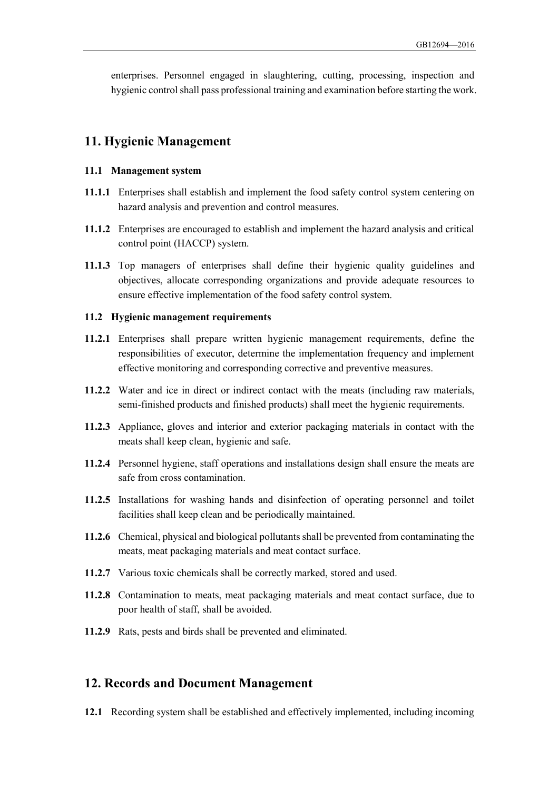enterprises. Personnel engaged in slaughtering, cutting, processing, inspection and hygienic control shall pass professional training and examination before starting the work.

### <span id="page-13-0"></span>**11. Hygienic Management**

#### **11.1 Management system**

- **11.1.1** Enterprises shall establish and implement the food safety control system centering on hazard analysis and prevention and control measures.
- **11.1.2** Enterprises are encouraged to establish and implement the hazard analysis and critical control point (HACCP) system.
- **11.1.3** Top managers of enterprises shall define their hygienic quality guidelines and objectives, allocate corresponding organizations and provide adequate resources to ensure effective implementation of the food safety control system.

#### **11.2 Hygienic management requirements**

- **11.2.1** Enterprises shall prepare written hygienic management requirements, define the responsibilities of executor, determine the implementation frequency and implement effective monitoring and corresponding corrective and preventive measures.
- **11.2.2** Water and ice in direct or indirect contact with the meats (including raw materials, semi-finished products and finished products) shall meet the hygienic requirements.
- **11.2.3** Appliance, gloves and interior and exterior packaging materials in contact with the meats shall keep clean, hygienic and safe.
- **11.2.4** Personnel hygiene, staff operations and installations design shall ensure the meats are safe from cross contamination.
- **11.2.5** Installations for washing hands and disinfection of operating personnel and toilet facilities shall keep clean and be periodically maintained.
- **11.2.6** Chemical, physical and biological pollutants shall be prevented from contaminating the meats, meat packaging materials and meat contact surface.
- **11.2.7** Various toxic chemicals shall be correctly marked, stored and used.
- **11.2.8** Contamination to meats, meat packaging materials and meat contact surface, due to poor health of staff, shall be avoided.
- **11.2.9** Rats, pests and birds shall be prevented and eliminated.

#### <span id="page-13-1"></span>**12. Records and Document Management**

**12.1** Recording system shall be established and effectively implemented, including incoming